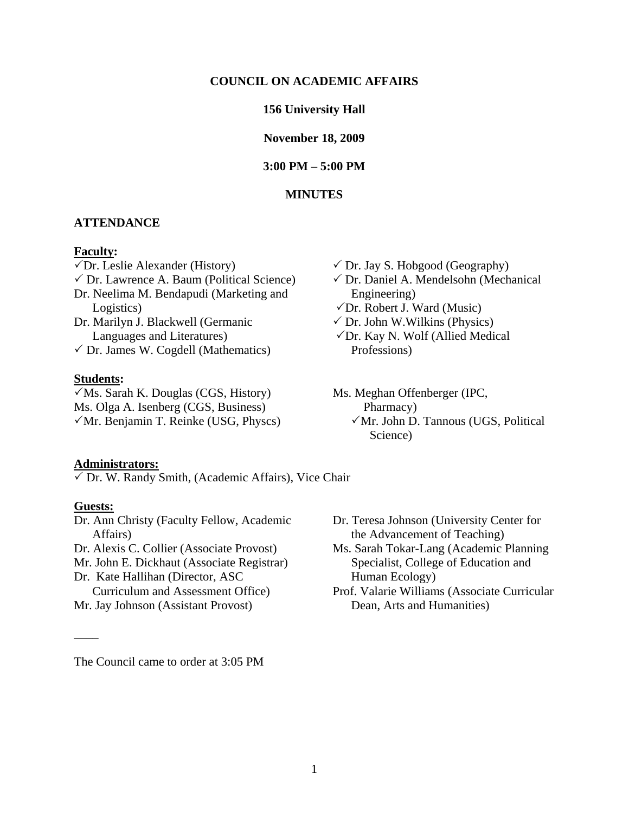#### **COUNCIL ON ACADEMIC AFFAIRS**

#### **156 University Hall**

**November 18, 2009** 

**3:00 PM – 5:00 PM** 

## **MINUTES**

#### **ATTENDANCE**

#### **Faculty:**

Dr. Leslie Alexander (History)  $\checkmark$  Dr. Lawrence A. Baum (Political Science) Dr. Neelima M. Bendapudi (Marketing and Logistics) Dr. Marilyn J. Blackwell (Germanic Languages and Literatures)  $\checkmark$  Dr. James W. Cogdell (Mathematics)

#### **Students:**

Ms. Sarah K. Douglas (CGS, History) Ms. Meghan Offenberger (IPC, Ms. Olga A. Isenberg (CGS, Business) Pharmacy)

#### **Administrators:**

 $\checkmark$  Dr. W. Randy Smith, (Academic Affairs), Vice Chair

#### **Guests:**

\_\_\_\_

Dr. Ann Christy (Faculty Fellow, Academic Affairs) Dr. Alexis C. Collier (Associate Provost) Mr. John E. Dickhaut (Associate Registrar)

Dr. Kate Hallihan (Director, ASC Curriculum and Assessment Office) Mr. Jay Johnson (Assistant Provost)

- $\checkmark$  Dr. Jay S. Hobgood (Geography)
- Dr. Daniel A. Mendelsohn (Mechanical Engineering)
- $\sqrt{Dr}$ . Robert J. Ward (Music)
- $\checkmark$  Dr. John W.Wilkins (Physics)
- Dr. Kay N. Wolf (Allied Medical Professions)
- $\sqrt{M}r$ . Benjamin T. Reinke (USG, Physcs)  $\sqrt{M}r$ . John D. Tannous (UGS, Political Science)
	- Dr. Teresa Johnson (University Center for the Advancement of Teaching)
	- Ms. Sarah Tokar-Lang (Academic Planning Specialist, College of Education and Human Ecology)
	- Prof. Valarie Williams (Associate Curricular Dean, Arts and Humanities)

The Council came to order at 3:05 PM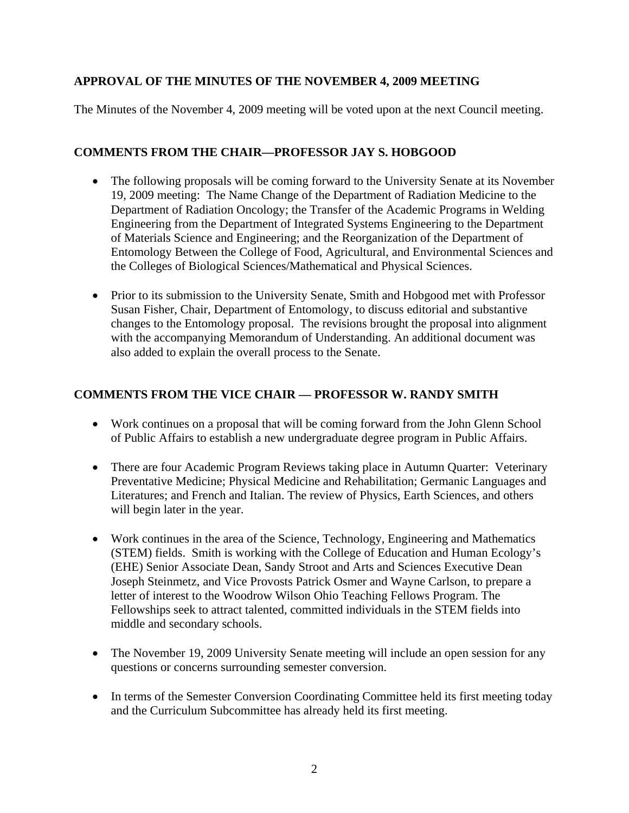# **APPROVAL OF THE MINUTES OF THE NOVEMBER 4, 2009 MEETING**

The Minutes of the November 4, 2009 meeting will be voted upon at the next Council meeting.

# **COMMENTS FROM THE CHAIR—PROFESSOR JAY S. HOBGOOD**

- The following proposals will be coming forward to the University Senate at its November 19, 2009 meeting: The Name Change of the Department of Radiation Medicine to the Department of Radiation Oncology; the Transfer of the Academic Programs in Welding Engineering from the Department of Integrated Systems Engineering to the Department of Materials Science and Engineering; and the Reorganization of the Department of Entomology Between the College of Food, Agricultural, and Environmental Sciences and the Colleges of Biological Sciences/Mathematical and Physical Sciences.
- Prior to its submission to the University Senate, Smith and Hobgood met with Professor Susan Fisher, Chair, Department of Entomology, to discuss editorial and substantive changes to the Entomology proposal. The revisions brought the proposal into alignment with the accompanying Memorandum of Understanding. An additional document was also added to explain the overall process to the Senate.

# **COMMENTS FROM THE VICE CHAIR — PROFESSOR W. RANDY SMITH**

- Work continues on a proposal that will be coming forward from the John Glenn School of Public Affairs to establish a new undergraduate degree program in Public Affairs.
- There are four Academic Program Reviews taking place in Autumn Quarter: Veterinary Preventative Medicine; Physical Medicine and Rehabilitation; Germanic Languages and Literatures; and French and Italian. The review of Physics, Earth Sciences, and others will begin later in the year.
- Work continues in the area of the Science, Technology, Engineering and Mathematics (STEM) fields. Smith is working with the College of Education and Human Ecology's (EHE) Senior Associate Dean, Sandy Stroot and Arts and Sciences Executive Dean Joseph Steinmetz, and Vice Provosts Patrick Osmer and Wayne Carlson, to prepare a letter of interest to the Woodrow Wilson Ohio Teaching Fellows Program. The Fellowships seek to attract talented, committed individuals in the STEM fields into middle and secondary schools.
- The November 19, 2009 University Senate meeting will include an open session for any questions or concerns surrounding semester conversion.
- In terms of the Semester Conversion Coordinating Committee held its first meeting today and the Curriculum Subcommittee has already held its first meeting.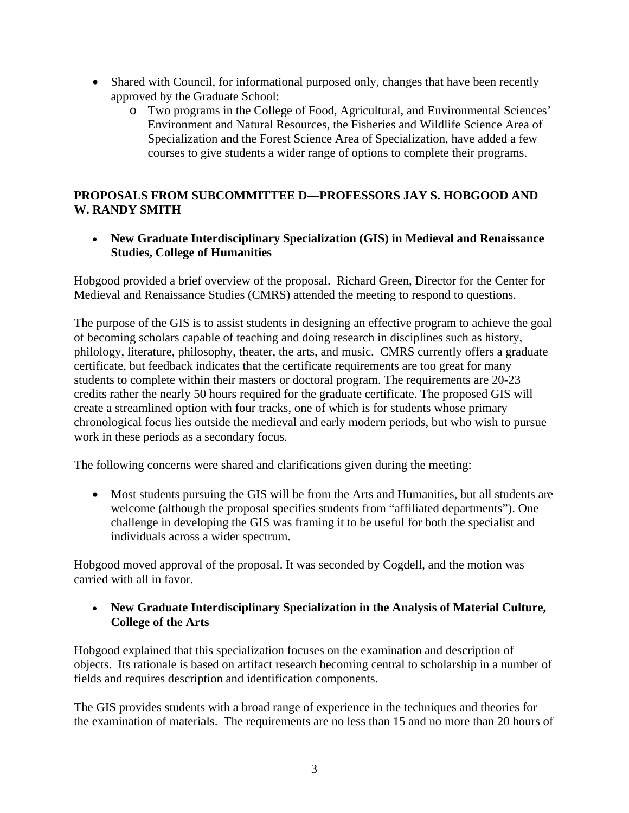- Shared with Council, for informational purposed only, changes that have been recently approved by the Graduate School:
	- o Two programs in the College of Food, Agricultural, and Environmental Sciences' Environment and Natural Resources, the Fisheries and Wildlife Science Area of Specialization and the Forest Science Area of Specialization, have added a few courses to give students a wider range of options to complete their programs.

# **PROPOSALS FROM SUBCOMMITTEE D—PROFESSORS JAY S. HOBGOOD AND W. RANDY SMITH**

 **New Graduate Interdisciplinary Specialization (GIS) in Medieval and Renaissance Studies, College of Humanities** 

Hobgood provided a brief overview of the proposal. Richard Green, Director for the Center for Medieval and Renaissance Studies (CMRS) attended the meeting to respond to questions.

The purpose of the GIS is to assist students in designing an effective program to achieve the goal of becoming scholars capable of teaching and doing research in disciplines such as history, philology, literature, philosophy, theater, the arts, and music. CMRS currently offers a graduate certificate, but feedback indicates that the certificate requirements are too great for many students to complete within their masters or doctoral program. The requirements are 20-23 credits rather the nearly 50 hours required for the graduate certificate. The proposed GIS will create a streamlined option with four tracks, one of which is for students whose primary chronological focus lies outside the medieval and early modern periods, but who wish to pursue work in these periods as a secondary focus.

The following concerns were shared and clarifications given during the meeting:

• Most students pursuing the GIS will be from the Arts and Humanities, but all students are welcome (although the proposal specifies students from "affiliated departments"). One challenge in developing the GIS was framing it to be useful for both the specialist and individuals across a wider spectrum.

Hobgood moved approval of the proposal. It was seconded by Cogdell, and the motion was carried with all in favor.

## **New Graduate Interdisciplinary Specialization in the Analysis of Material Culture, College of the Arts**

Hobgood explained that this specialization focuses on the examination and description of objects. Its rationale is based on artifact research becoming central to scholarship in a number of fields and requires description and identification components.

The GIS provides students with a broad range of experience in the techniques and theories for the examination of materials. The requirements are no less than 15 and no more than 20 hours of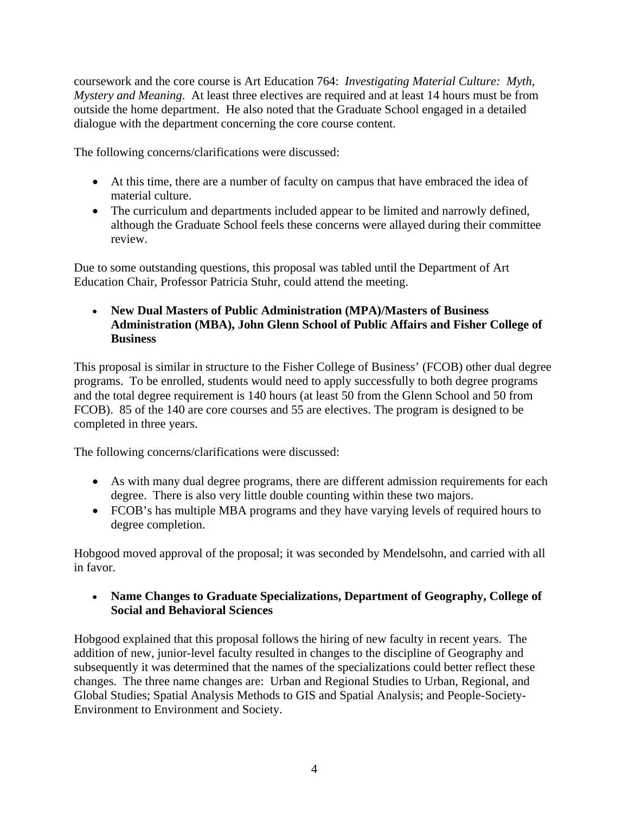coursework and the core course is Art Education 764: *Investigating Material Culture: Myth, Mystery and Meaning*. At least three electives are required and at least 14 hours must be from outside the home department. He also noted that the Graduate School engaged in a detailed dialogue with the department concerning the core course content.

The following concerns/clarifications were discussed:

- At this time, there are a number of faculty on campus that have embraced the idea of material culture.
- The curriculum and departments included appear to be limited and narrowly defined, although the Graduate School feels these concerns were allayed during their committee review.

Due to some outstanding questions, this proposal was tabled until the Department of Art Education Chair, Professor Patricia Stuhr, could attend the meeting.

 **New Dual Masters of Public Administration (MPA)/Masters of Business Administration (MBA), John Glenn School of Public Affairs and Fisher College of Business**

This proposal is similar in structure to the Fisher College of Business' (FCOB) other dual degree programs. To be enrolled, students would need to apply successfully to both degree programs and the total degree requirement is 140 hours (at least 50 from the Glenn School and 50 from FCOB). 85 of the 140 are core courses and 55 are electives. The program is designed to be completed in three years.

The following concerns/clarifications were discussed:

- As with many dual degree programs, there are different admission requirements for each degree. There is also very little double counting within these two majors.
- FCOB's has multiple MBA programs and they have varying levels of required hours to degree completion.

Hobgood moved approval of the proposal; it was seconded by Mendelsohn, and carried with all in favor.

 **Name Changes to Graduate Specializations, Department of Geography, College of Social and Behavioral Sciences** 

Hobgood explained that this proposal follows the hiring of new faculty in recent years. The addition of new, junior-level faculty resulted in changes to the discipline of Geography and subsequently it was determined that the names of the specializations could better reflect these changes. The three name changes are: Urban and Regional Studies to Urban, Regional, and Global Studies; Spatial Analysis Methods to GIS and Spatial Analysis; and People-Society-Environment to Environment and Society.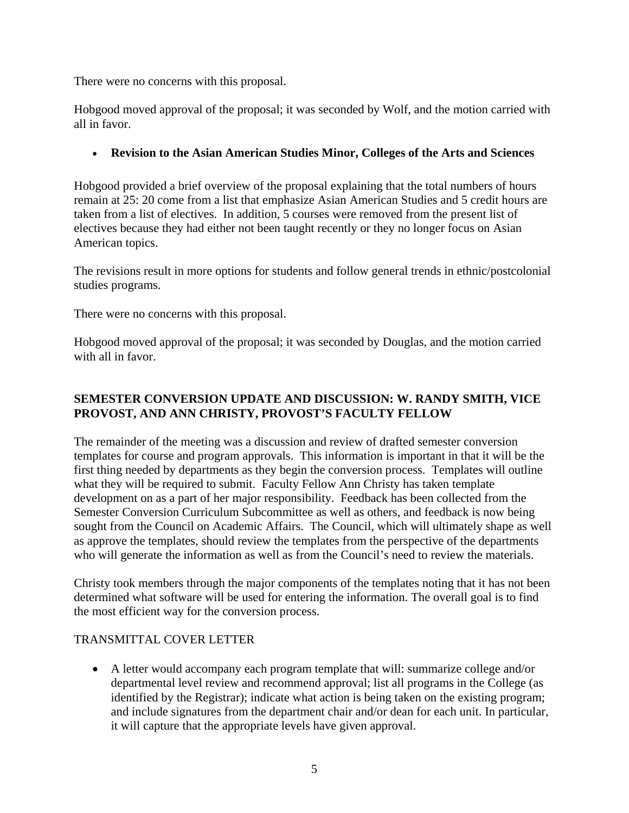There were no concerns with this proposal.

Hobgood moved approval of the proposal; it was seconded by Wolf, and the motion carried with all in favor.

# **Revision to the Asian American Studies Minor, Colleges of the Arts and Sciences**

Hobgood provided a brief overview of the proposal explaining that the total numbers of hours remain at 25: 20 come from a list that emphasize Asian American Studies and 5 credit hours are taken from a list of electives. In addition, 5 courses were removed from the present list of electives because they had either not been taught recently or they no longer focus on Asian American topics.

The revisions result in more options for students and follow general trends in ethnic/postcolonial studies programs.

There were no concerns with this proposal.

Hobgood moved approval of the proposal; it was seconded by Douglas, and the motion carried with all in favor.

# **SEMESTER CONVERSION UPDATE AND DISCUSSION: W. RANDY SMITH, VICE PROVOST, AND ANN CHRISTY, PROVOST'S FACULTY FELLOW**

The remainder of the meeting was a discussion and review of drafted semester conversion templates for course and program approvals. This information is important in that it will be the first thing needed by departments as they begin the conversion process. Templates will outline what they will be required to submit. Faculty Fellow Ann Christy has taken template development on as a part of her major responsibility. Feedback has been collected from the Semester Conversion Curriculum Subcommittee as well as others, and feedback is now being sought from the Council on Academic Affairs. The Council, which will ultimately shape as well as approve the templates, should review the templates from the perspective of the departments who will generate the information as well as from the Council's need to review the materials.

Christy took members through the major components of the templates noting that it has not been determined what software will be used for entering the information. The overall goal is to find the most efficient way for the conversion process.

## TRANSMITTAL COVER LETTER

 A letter would accompany each program template that will: summarize college and/or departmental level review and recommend approval; list all programs in the College (as identified by the Registrar); indicate what action is being taken on the existing program; and include signatures from the department chair and/or dean for each unit. In particular, it will capture that the appropriate levels have given approval.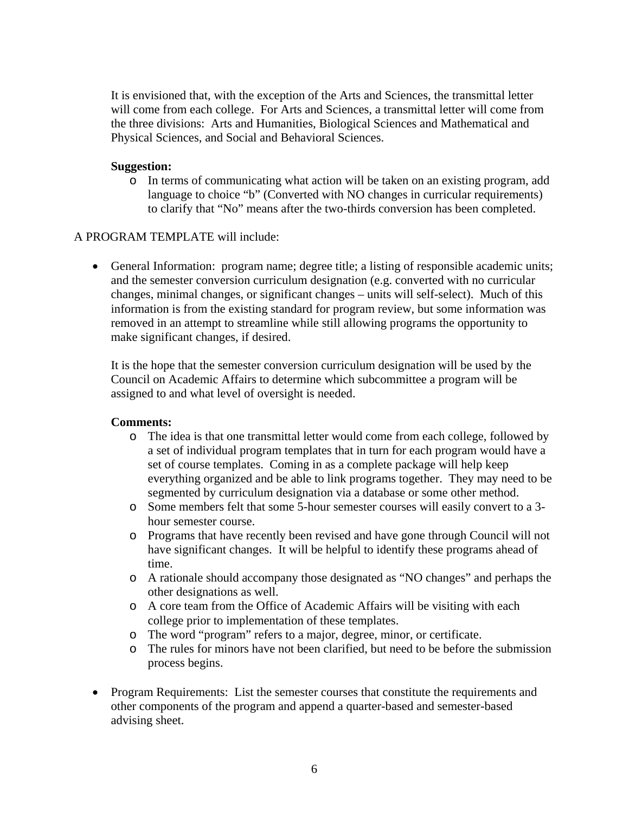It is envisioned that, with the exception of the Arts and Sciences, the transmittal letter will come from each college. For Arts and Sciences, a transmittal letter will come from the three divisions: Arts and Humanities, Biological Sciences and Mathematical and Physical Sciences, and Social and Behavioral Sciences.

## **Suggestion:**

o In terms of communicating what action will be taken on an existing program, add language to choice "b" (Converted with NO changes in curricular requirements) to clarify that "No" means after the two-thirds conversion has been completed.

## A PROGRAM TEMPLATE will include:

 General Information: program name; degree title; a listing of responsible academic units; and the semester conversion curriculum designation (e.g. converted with no curricular changes, minimal changes, or significant changes – units will self-select). Much of this information is from the existing standard for program review, but some information was removed in an attempt to streamline while still allowing programs the opportunity to make significant changes, if desired.

It is the hope that the semester conversion curriculum designation will be used by the Council on Academic Affairs to determine which subcommittee a program will be assigned to and what level of oversight is needed.

## **Comments:**

- o The idea is that one transmittal letter would come from each college, followed by a set of individual program templates that in turn for each program would have a set of course templates. Coming in as a complete package will help keep everything organized and be able to link programs together. They may need to be segmented by curriculum designation via a database or some other method.
- o Some members felt that some 5-hour semester courses will easily convert to a 3 hour semester course.
- o Programs that have recently been revised and have gone through Council will not have significant changes. It will be helpful to identify these programs ahead of time.
- o A rationale should accompany those designated as "NO changes" and perhaps the other designations as well.
- o A core team from the Office of Academic Affairs will be visiting with each college prior to implementation of these templates.
- o The word "program" refers to a major, degree, minor, or certificate.
- o The rules for minors have not been clarified, but need to be before the submission process begins.
- Program Requirements: List the semester courses that constitute the requirements and other components of the program and append a quarter-based and semester-based advising sheet.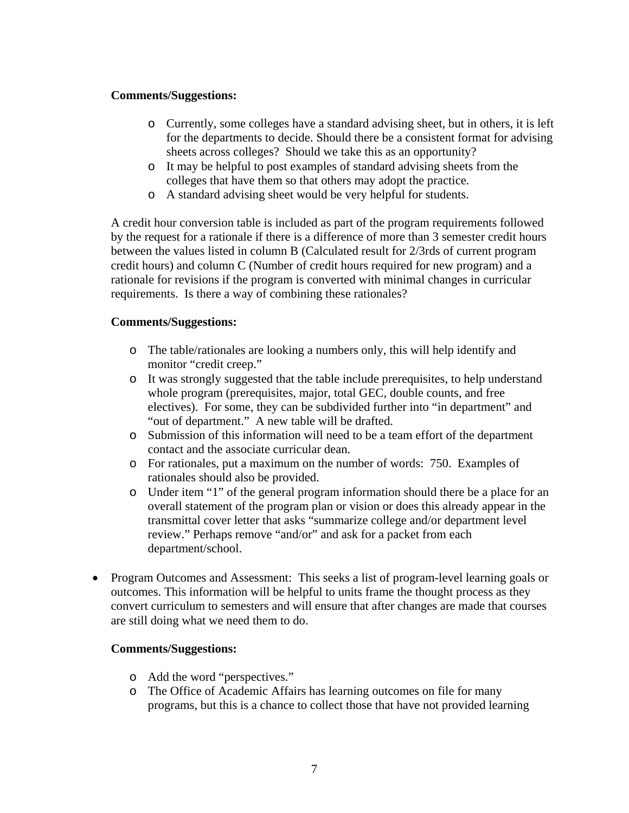## **Comments/Suggestions:**

- o Currently, some colleges have a standard advising sheet, but in others, it is left for the departments to decide. Should there be a consistent format for advising sheets across colleges? Should we take this as an opportunity?
- o It may be helpful to post examples of standard advising sheets from the colleges that have them so that others may adopt the practice.
- o A standard advising sheet would be very helpful for students.

A credit hour conversion table is included as part of the program requirements followed by the request for a rationale if there is a difference of more than 3 semester credit hours between the values listed in column B (Calculated result for 2/3rds of current program credit hours) and column C (Number of credit hours required for new program) and a rationale for revisions if the program is converted with minimal changes in curricular requirements. Is there a way of combining these rationales?

## **Comments/Suggestions:**

- o The table/rationales are looking a numbers only, this will help identify and monitor "credit creep."
- o It was strongly suggested that the table include prerequisites, to help understand whole program (prerequisites, major, total GEC, double counts, and free electives). For some, they can be subdivided further into "in department" and "out of department." A new table will be drafted.
- o Submission of this information will need to be a team effort of the department contact and the associate curricular dean.
- o For rationales, put a maximum on the number of words: 750. Examples of rationales should also be provided.
- o Under item "1" of the general program information should there be a place for an overall statement of the program plan or vision or does this already appear in the transmittal cover letter that asks "summarize college and/or department level review." Perhaps remove "and/or" and ask for a packet from each department/school.
- Program Outcomes and Assessment: This seeks a list of program-level learning goals or outcomes. This information will be helpful to units frame the thought process as they convert curriculum to semesters and will ensure that after changes are made that courses are still doing what we need them to do.

## **Comments/Suggestions:**

- o Add the word "perspectives."
- o The Office of Academic Affairs has learning outcomes on file for many programs, but this is a chance to collect those that have not provided learning